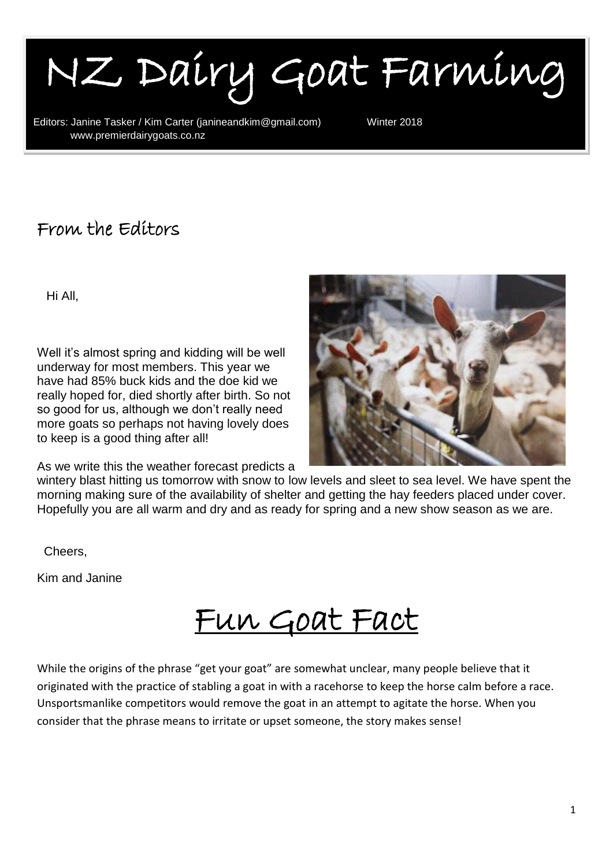I NZ Dairy Goat Farming

Editors: Janine Tasker / Kim Carter (janineandkim@gmail.com) Winter 2018<br>WWW.premierdairvgoats.co.nz www.premierdairygoats.co.nz

### From the Editors

Hi All,

۱

Well it's almost spring and kidding will be well underway for most members. This year we have had 85% buck kids and the doe kid we really hoped for, died shortly after birth. So not so good for us, although we don't really need more goats so perhaps not having lovely does to keep is a good thing after all!

As we write this the weather forecast predicts a



wintery blast hitting us tomorrow with snow to low levels and sleet to sea level. We have spent the morning making sure of the availability of shelter and getting the hay feeders placed under cover. Hopefully you are all warm and dry and as ready for spring and a new show season as we are.

Cheers,

Kim and Janine

Fun Goat Fact

While the origins of the phrase "get your goat" are somewhat unclear, many people believe that it originated with the practice of stabling a goat in with a racehorse to keep the horse calm before a race. Unsportsmanlike competitors would remove the goat in an attempt to agitate the horse. When you consider that the phrase means to irritate or upset someone, the story makes sense!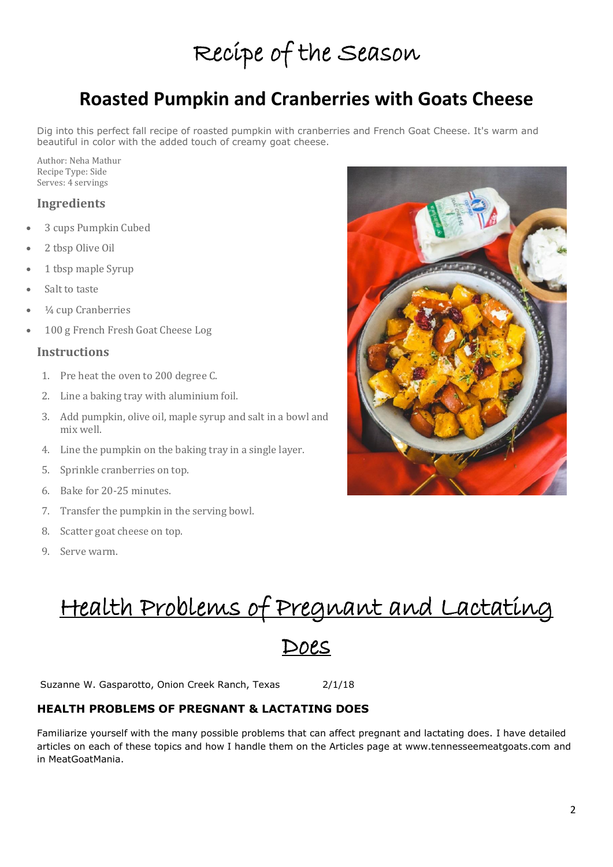# Recipe of the Season

### **Roasted Pumpkin and Cranberries with Goats Cheese**

Dig into this perfect fall recipe of roasted pumpkin with cranberries and French Goat Cheese. It's warm and beautiful in color with the added touch of creamy goat cheese.

Author: Neha Mathur Recipe Type: Side Serves: 4 servings

#### **Ingredients**

- 3 cups Pumpkin Cubed
- 2 tbsp Olive Oil
- 1 tbsp maple Syrup
- Salt to taste
- <sup>1</sup>/<sub>4</sub> cup Cranberries
- 100 g French Fresh Goat Cheese Log

#### **Instructions**

- 1. Pre heat the oven to 200 degree C.
- 2. Line a baking tray with aluminium foil.
- 3. Add pumpkin, olive oil, maple syrup and salt in a bowl and mix well.
- 4. Line the pumpkin on the baking tray in a single layer.
- 5. Sprinkle cranberries on top.
- 6. Bake for 20-25 minutes.
- 7. Transfer the pumpkin in the serving bowl.
- 8. Scatter goat cheese on top.
- 9. Serve warm.

Health Problems of Pregnant and Lactating

#### Does

Suzanne W. Gasparotto, Onion Creek Ranch, Texas 2/1/18

#### **HEALTH PROBLEMS OF PREGNANT & LACTATING DOES**

Familiarize yourself with the many possible problems that can affect pregnant and lactating does. I have detailed articles on each of these topics and how I handle them on the Articles page at www.tennesseemeatgoats.com and in MeatGoatMania.

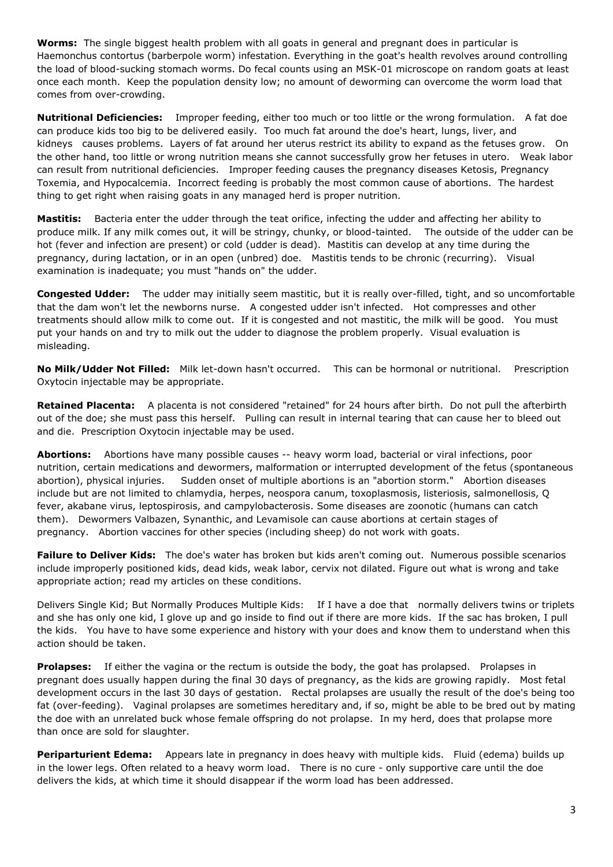**Worms:** The single biggest health problem with all goats in general and pregnant does in particular is Haemonchus contortus (barberpole worm) infestation. Everything in the goat's health revolves around controlling the load of blood-sucking stomach worms. Do fecal counts using an MSK-01 microscope on random goats at least once each month. Keep the population density low; no amount of deworming can overcome the worm load that comes from over-crowding.

**Nutritional Deficiencies:** Improper feeding, either too much or too little or the wrong formulation. A fat doe can produce kids too big to be delivered easily. Too much fat around the doe's heart, lungs, liver, and kidneys causes problems. Layers of fat around her uterus restrict its ability to expand as the fetuses grow. On the other hand, too little or wrong nutrition means she cannot successfully grow her fetuses in utero. Weak labor can result from nutritional deficiencies. Improper feeding causes the pregnancy diseases Ketosis, Pregnancy Toxemia, and Hypocalcemia. Incorrect feeding is probably the most common cause of abortions. The hardest thing to get right when raising goats in any managed herd is proper nutrition.

**Mastitis:** Bacteria enter the udder through the teat orifice, infecting the udder and affecting her ability to produce milk. If any milk comes out, it will be stringy, chunky, or blood-tainted. The outside of the udder can be hot (fever and infection are present) or cold (udder is dead). Mastitis can develop at any time during the pregnancy, during lactation, or in an open (unbred) doe. Mastitis tends to be chronic (recurring). Visual examination is inadequate; you must "hands on" the udder.

**Congested Udder:** The udder may initially seem mastitic, but it is really over-filled, tight, and so uncomfortable that the dam won't let the newborns nurse. A congested udder isn't infected. Hot compresses and other treatments should allow milk to come out. If it is congested and not mastitic, the milk will be good. You must put your hands on and try to milk out the udder to diagnose the problem properly. Visual evaluation is misleading.

**No Milk/Udder Not Filled:** Milk let-down hasn't occurred. This can be hormonal or nutritional. Prescription Oxytocin injectable may be appropriate.

**Retained Placenta:** A placenta is not considered "retained" for 24 hours after birth. Do not pull the afterbirth out of the doe; she must pass this herself. Pulling can result in internal tearing that can cause her to bleed out and die. Prescription Oxytocin injectable may be used.

**Abortions:** Abortions have many possible causes -- heavy worm load, bacterial or viral infections, poor nutrition, certain medications and dewormers, malformation or interrupted development of the fetus (spontaneous abortion), physical injuries. Sudden onset of multiple abortions is an "abortion storm." Abortion diseases include but are not limited to chlamydia, herpes, neospora canum, toxoplasmosis, listeriosis, salmonellosis, Q fever, akabane virus, leptospirosis, and campylobacterosis. Some diseases are zoonotic (humans can catch them). Dewormers Valbazen, Synanthic, and Levamisole can cause abortions at certain stages of pregnancy. Abortion vaccines for other species (including sheep) do not work with goats.

**Failure to Deliver Kids:** The doe's water has broken but kids aren't coming out. Numerous possible scenarios include improperly positioned kids, dead kids, weak labor, cervix not dilated. Figure out what is wrong and take appropriate action; read my articles on these conditions.

Delivers Single Kid; But Normally Produces Multiple Kids: If I have a doe that normally delivers twins or triplets and she has only one kid, I glove up and go inside to find out if there are more kids. If the sac has broken, I pull the kids. You have to have some experience and history with your does and know them to understand when this action should be taken.

**Prolapses:** If either the vagina or the rectum is outside the body, the goat has prolapsed. Prolapses in pregnant does usually happen during the final 30 days of pregnancy, as the kids are growing rapidly. Most fetal development occurs in the last 30 days of gestation. Rectal prolapses are usually the result of the doe's being too fat (over-feeding). Vaginal prolapses are sometimes hereditary and, if so, might be able to be bred out by mating the doe with an unrelated buck whose female offspring do not prolapse. In my herd, does that prolapse more than once are sold for slaughter.

**Periparturient Edema:** Appears late in pregnancy in does heavy with multiple kids. Fluid (edema) builds up in the lower legs. Often related to a heavy worm load. There is no cure - only supportive care until the doe delivers the kids, at which time it should disappear if the worm load has been addressed.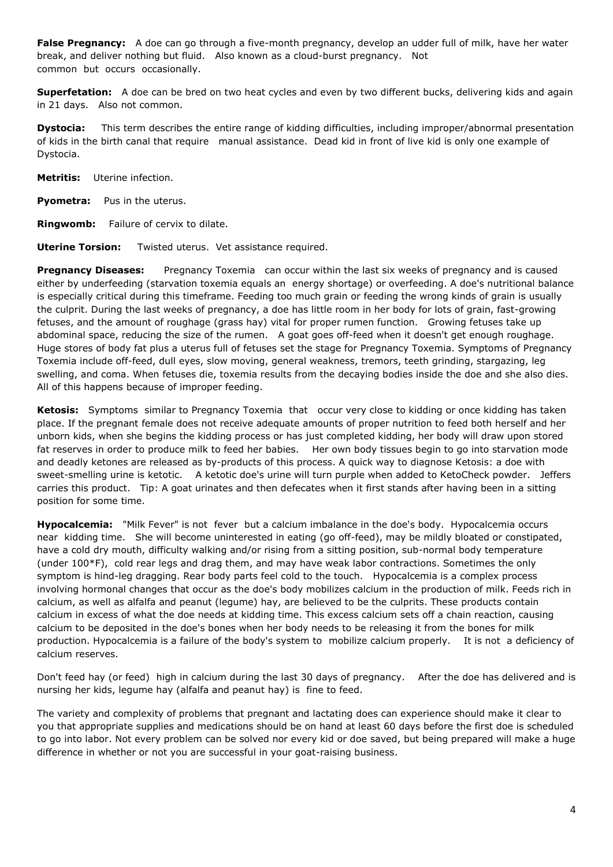**False Pregnancy:** A doe can go through a five-month pregnancy, develop an udder full of milk, have her water break, and deliver nothing but fluid. Also known as a cloud-burst pregnancy. Not common but occurs occasionally.

**Superfetation:** A doe can be bred on two heat cycles and even by two different bucks, delivering kids and again in 21 days. Also not common.

**Dystocia:** This term describes the entire range of kidding difficulties, including improper/abnormal presentation of kids in the birth canal that require manual assistance. Dead kid in front of live kid is only one example of Dystocia.

**Metritis:** Uterine infection.

**Pyometra:** Pus in the uterus.

**Ringwomb:** Failure of cervix to dilate.

**Uterine Torsion:** Twisted uterus. Vet assistance required.

**Pregnancy Diseases:** Pregnancy Toxemia can occur within the last six weeks of pregnancy and is caused either by underfeeding (starvation toxemia equals an energy shortage) or overfeeding. A doe's nutritional balance is especially critical during this timeframe. Feeding too much grain or feeding the wrong kinds of grain is usually the culprit. During the last weeks of pregnancy, a doe has little room in her body for lots of grain, fast-growing fetuses, and the amount of roughage (grass hay) vital for proper rumen function. Growing fetuses take up abdominal space, reducing the size of the rumen. A goat goes off-feed when it doesn't get enough roughage. Huge stores of body fat plus a uterus full of fetuses set the stage for Pregnancy Toxemia. Symptoms of Pregnancy Toxemia include off-feed, dull eyes, slow moving, general weakness, tremors, teeth grinding, stargazing, leg swelling, and coma. When fetuses die, toxemia results from the decaying bodies inside the doe and she also dies. All of this happens because of improper feeding.

**Ketosis:** Symptoms similar to Pregnancy Toxemia that occur very close to kidding or once kidding has taken place. If the pregnant female does not receive adequate amounts of proper nutrition to feed both herself and her unborn kids, when she begins the kidding process or has just completed kidding, her body will draw upon stored fat reserves in order to produce milk to feed her babies. Her own body tissues begin to go into starvation mode and deadly ketones are released as by-products of this process. A quick way to diagnose Ketosis: a doe with sweet-smelling urine is ketotic. A ketotic doe's urine will turn purple when added to KetoCheck powder. Jeffers carries this product. Tip: A goat urinates and then defecates when it first stands after having been in a sitting position for some time.

**Hypocalcemia:** "Milk Fever" is not fever but a calcium imbalance in the doe's body. Hypocalcemia occurs near kidding time. She will become uninterested in eating (go off-feed), may be mildly bloated or constipated, have a cold dry mouth, difficulty walking and/or rising from a sitting position, sub-normal body temperature (under 100\*F), cold rear legs and drag them, and may have weak labor contractions. Sometimes the only symptom is hind-leg dragging. Rear body parts feel cold to the touch. Hypocalcemia is a complex process involving hormonal changes that occur as the doe's body mobilizes calcium in the production of milk. Feeds rich in calcium, as well as alfalfa and peanut (legume) hay, are believed to be the culprits. These products contain calcium in excess of what the doe needs at kidding time. This excess calcium sets off a chain reaction, causing calcium to be deposited in the doe's bones when her body needs to be releasing it from the bones for milk production. Hypocalcemia is a failure of the body's system to mobilize calcium properly. It is not a deficiency of calcium reserves.

Don't feed hay (or feed) high in calcium during the last 30 days of pregnancy. After the doe has delivered and is nursing her kids, legume hay (alfalfa and peanut hay) is fine to feed.

The variety and complexity of problems that pregnant and lactating does can experience should make it clear to you that appropriate supplies and medications should be on hand at least 60 days before the first doe is scheduled to go into labor. Not every problem can be solved nor every kid or doe saved, but being prepared will make a huge difference in whether or not you are successful in your goat-raising business.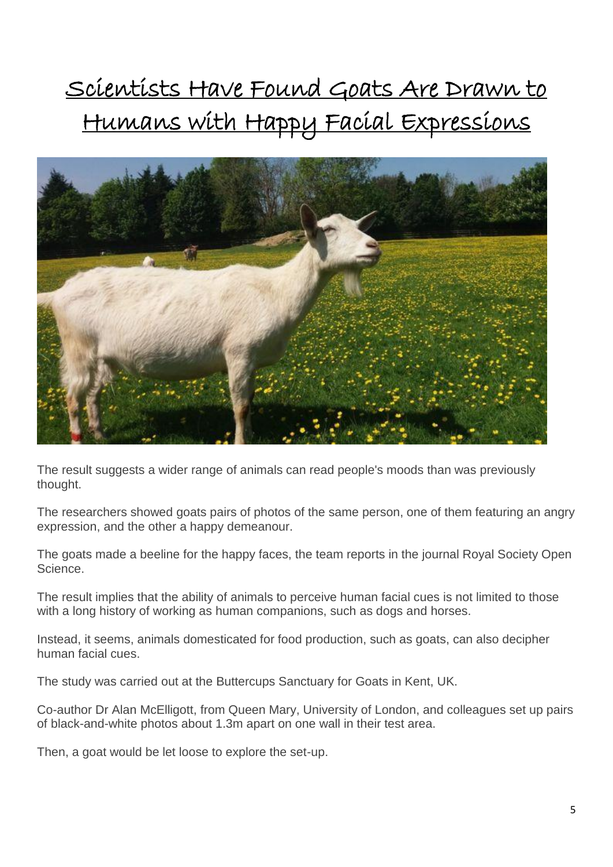# Scientists Have Found Goats Are Drawn to Humans with Happy Facial Expressions



The result suggests a wider range of animals can read people's moods than was previously thought.

The researchers showed goats pairs of photos of the same person, one of them featuring an angry expression, and the other a happy demeanour.

The goats made a beeline for the happy faces, the team reports in the journal Royal Society Open Science.

The result implies that the ability of animals to perceive human facial cues is not limited to those with a long history of working as human companions, such as dogs and horses.

Instead, it seems, animals domesticated for food production, such as goats, can also decipher human facial cues.

The study was carried out at the Buttercups Sanctuary for Goats in Kent, UK.

Co-author Dr Alan McElligott, from Queen Mary, University of London, and colleagues set up pairs of black-and-white photos about 1.3m apart on one wall in their test area.

Then, a goat would be let loose to explore the set-up.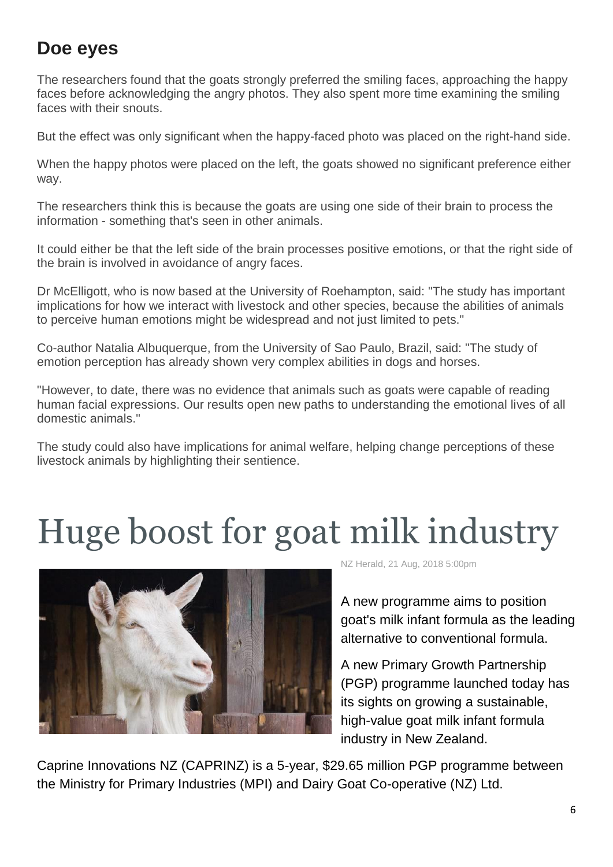### **Doe eyes**

The researchers found that the goats strongly preferred the smiling faces, approaching the happy faces before acknowledging the angry photos. They also spent more time examining the smiling faces with their snouts.

But the effect was only significant when the happy-faced photo was placed on the right-hand side.

When the happy photos were placed on the left, the goats showed no significant preference either way.

The researchers think this is because the goats are using one side of their brain to process the information - something that's seen in other animals.

It could either be that the left side of the brain processes positive emotions, or that the right side of the brain is involved in avoidance of angry faces.

Dr McElligott, who is now based at the University of Roehampton, said: "The study has important implications for how we interact with livestock and other species, because the abilities of animals to perceive human emotions might be widespread and not just limited to pets."

Co-author Natalia Albuquerque, from the University of Sao Paulo, Brazil, said: "The study of emotion perception has already shown very complex abilities in dogs and horses.

"However, to date, there was no evidence that animals such as goats were capable of reading human facial expressions. Our results open new paths to understanding the emotional lives of all domestic animals."

The study could also have implications for animal welfare, helping change perceptions of these livestock animals by highlighting their sentience.

# Huge boost for goat milk industry



NZ Herald, 21 Aug, 2018 5:00pm

A new programme aims to position goat's milk infant formula as the leading alternative to conventional formula.

A new Primary Growth Partnership (PGP) programme launched today has its sights on growing a sustainable, high-value goat milk infant formula industry in New Zealand.

Caprine Innovations NZ (CAPRINZ) is a 5-year, \$29.65 million PGP programme between the Ministry for Primary Industries (MPI) and Dairy Goat Co-operative (NZ) Ltd.